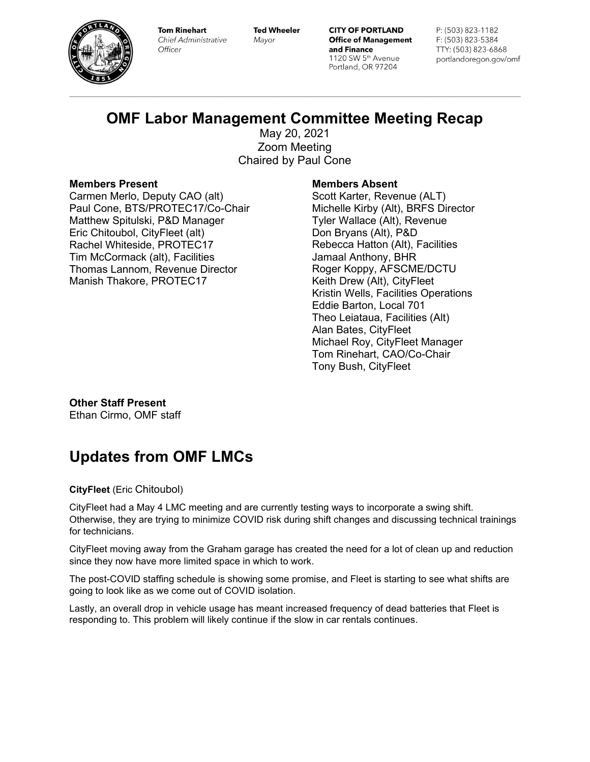

**Tom Rinehart Chief Administrative** Officer

**Ted Wheeler** Mayor

**CITY OF PORTLAND Office of Management** and Finance 1120 SW 5th Avenue Portland, OR 97204

P: (503) 823-1182 F: (503) 823-5384 TTY: (503) 823-6868 portlandoregon.gov/omf

# **OMF Labor Management Committee Meeting Recap**

May 20, 2021 Zoom Meeting Chaired by Paul Cone

## **Members Present**

Carmen Merlo, Deputy CAO (alt) Paul Cone, BTS/PROTEC17/Co-Chair Matthew Spitulski, P&D Manager Eric Chitoubol, CityFleet (alt) Rachel Whiteside, PROTEC17 Tim McCormack (alt), Facilities Thomas Lannom, Revenue Director Manish Thakore, PROTEC17

## **Members Absent**

Scott Karter, Revenue (ALT) Michelle Kirby (Alt), BRFS Director Tyler Wallace (Alt), Revenue Don Bryans (Alt), P&D Rebecca Hatton (Alt), Facilities Jamaal Anthony, BHR Roger Koppy, AFSCME/DCTU Keith Drew (Alt), CityFleet Kristin Wells, Facilities Operations Eddie Barton, Local 701 Theo Leiataua, Facilities (Alt) Alan Bates, CityFleet Michael Roy, CityFleet Manager Tom Rinehart, CAO/Co-Chair Tony Bush, CityFleet

**Other Staff Present** Ethan Cirmo, OMF staff

# **Updates from OMF LMCs**

**CityFleet** (Eric Chitoubol)

CityFleet had a May 4 LMC meeting and are currently testing ways to incorporate a swing shift. Otherwise, they are trying to minimize COVID risk during shift changes and discussing technical trainings for technicians.

CityFleet moving away from the Graham garage has created the need for a lot of clean up and reduction since they now have more limited space in which to work.

The post-COVID staffing schedule is showing some promise, and Fleet is starting to see what shifts are going to look like as we come out of COVID isolation.

Lastly, an overall drop in vehicle usage has meant increased frequency of dead batteries that Fleet is responding to. This problem will likely continue if the slow in car rentals continues.